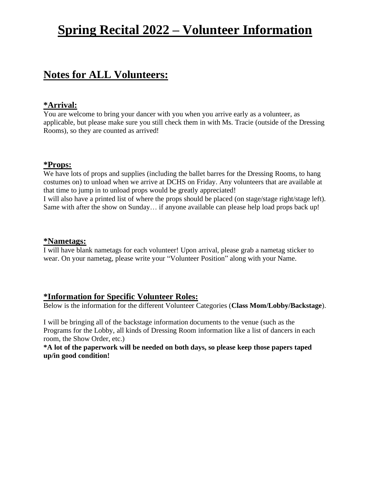# **Spring Recital 2022 – Volunteer Information**

# **Notes for ALL Volunteers:**

## **\*Arrival:**

You are welcome to bring your dancer with you when you arrive early as a volunteer, as applicable, but please make sure you still check them in with Ms. Tracie (outside of the Dressing Rooms), so they are counted as arrived!

### **\*Props:**

We have lots of props and supplies (including the ballet barres for the Dressing Rooms, to hang costumes on) to unload when we arrive at DCHS on Friday. Any volunteers that are available at that time to jump in to unload props would be greatly appreciated!

I will also have a printed list of where the props should be placed (on stage/stage right/stage left). Same with after the show on Sunday… if anyone available can please help load props back up!

### **\*Nametags:**

I will have blank nametags for each volunteer! Upon arrival, please grab a nametag sticker to wear. On your nametag, please write your "Volunteer Position" along with your Name.

# **\*Information for Specific Volunteer Roles:**

Below is the information for the different Volunteer Categories (**Class Mom/Lobby/Backstage**).

I will be bringing all of the backstage information documents to the venue (such as the Programs for the Lobby, all kinds of Dressing Room information like a list of dancers in each room, the Show Order, etc.)

**\*A lot of the paperwork will be needed on both days, so please keep those papers taped up/in good condition!**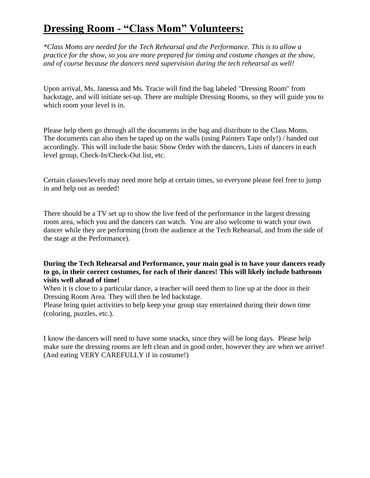# **Dressing Room - "Class Mom" Volunteers:**

*\*Class Moms are needed for the Tech Rehearsal and the Performance. This is to allow a practice for the show, so you are more prepared for timing and costume changes at the show, and of course because the dancers need supervision during the tech rehearsal as well!*

Upon arrival, Ms. Janessa and Ms. Tracie will find the bag labeled "Dressing Room" from backstage, and will initiate set-up. There are multiple Dressing Rooms, so they will guide you to which room your level is in.

Please help them go through all the documents in the bag and distribute to the Class Moms. The documents can also then be taped up on the walls (using Painters Tape only!) / handed out accordingly. This will include the basic Show Order with the dancers, Lists of dancers in each level group, Check-In/Check-Out list, etc.

Certain classes/levels may need more help at certain times, so everyone please feel free to jump in and help out as needed!

There should be a TV set up to show the live feed of the performance in the largest dressing room area, which you and the dancers can watch. You are also welcome to watch your own dancer while they are performing (from the audience at the Tech Rehearsal, and from the side of the stage at the Performance).

#### **During the Tech Rehearsal and Performance, your main goal is to have your dancers ready to go, in their correct costumes, for each of their dances! This will likely include bathroom visits well ahead of time!**

When it is close to a particular dance, a teacher will need them to line up at the door in their Dressing Room Area. They will then be led backstage.

Please bring quiet activities to help keep your group stay entertained during their down time (coloring, puzzles, etc.).

I know the dancers will need to have some snacks, since they will be long days. Please help make sure the dressing rooms are left clean and in good order, however they are when we arrive! (And eating VERY CAREFULLY if in costume!)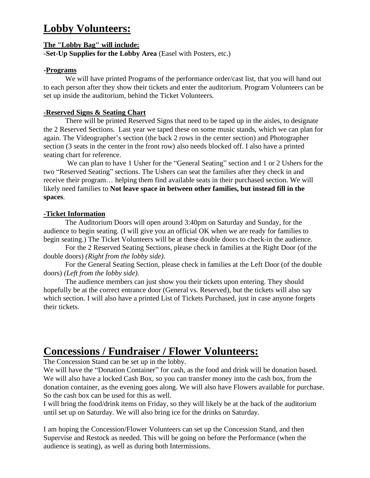# **Lobby Volunteers:**

### **The "Lobby Bag" will include:**

**-Set-Up Supplies for the Lobby Area** (Easel with Posters, etc.)

### **-Programs**

We will have printed Programs of the performance order/cast list, that you will hand out to each person after they show their tickets and enter the auditorium. Program Volunteers can be set up inside the auditorium, behind the Ticket Volunteers.

### **-Reserved Signs & Seating Chart**

There will be printed Reserved Signs that need to be taped up in the aisles, to designate the 2 Reserved Sections. Last year we taped these on some music stands, which we can plan for again. The Videographer's section (the back 2 rows in the center section) and Photographer section (3 seats in the center in the front row) also needs blocked off. I also have a printed seating chart for reference.

We can plan to have 1 Usher for the "General Seating" section and 1 or 2 Ushers for the two "Reserved Seating" sections. The Ushers can seat the families after they check in and receive their program… helping them find available seats in their purchased section. We will likely need families to **Not leave space in between other families, but instead fill in the spaces**.

### **-Ticket Information**

The Auditorium Doors will open around 3:40pm on Saturday and Sunday, for the audience to begin seating. (I will give you an official OK when we are ready for families to begin seating.) The Ticket Volunteers will be at these double doors to check-in the audience.

For the 2 Reserved Seating Sections, please check in families at the Right Door (of the double doors) *(Right from the lobby side).*

For the General Seating Section, please check in families at the Left Door (of the double doors) *(Left from the lobby side).*

The audience members can just show you their tickets upon entering. They should hopefully be at the correct entrance door (General vs. Reserved), but the tickets will also say which section. I will also have a printed List of Tickets Purchased, just in case anyone forgets their tickets.

# **Concessions / Fundraiser / Flower Volunteers:**

The Concession Stand can be set up in the lobby.

We will have the "Donation Container" for cash, as the food and drink will be donation based. We will also have a locked Cash Box, so you can transfer money into the cash box, from the donation container, as the evening goes along. We will also have Flowers available for purchase. So the cash box can be used for this as well.

I will bring the food/drink items on Friday, so they will likely be at the back of the auditorium until set up on Saturday. We will also bring ice for the drinks on Saturday.

I am hoping the Concession/Flower Volunteers can set up the Concession Stand, and then Supervise and Restock as needed. This will be going on before the Performance (when the audience is seating), as well as during both Intermissions.